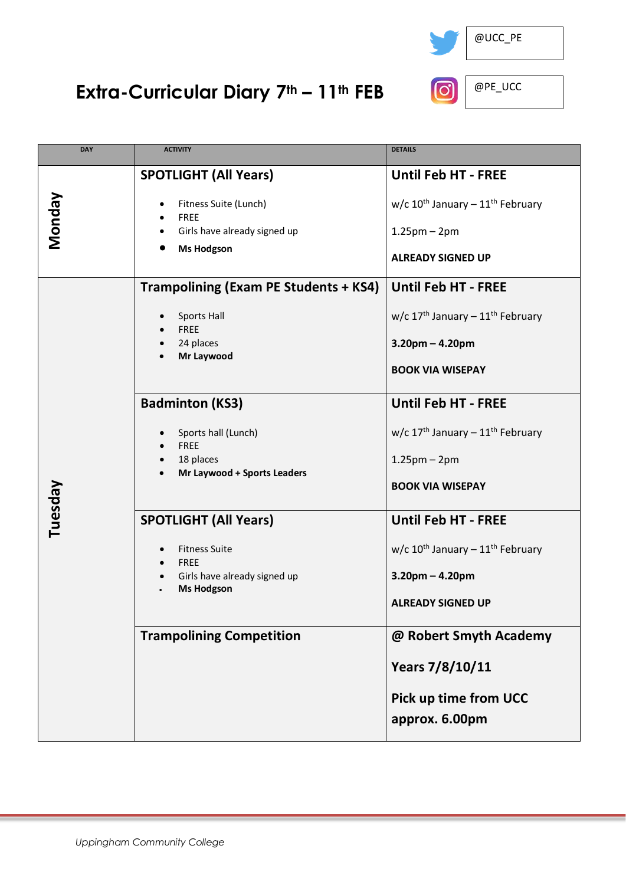

## **Extra-Curricular Diary 7th – 11th FEB**



| <b>DAY</b> | <b>ACTIVITY</b>                                                                                                                                                 | <b>DETAILS</b>                                                                                                             |
|------------|-----------------------------------------------------------------------------------------------------------------------------------------------------------------|----------------------------------------------------------------------------------------------------------------------------|
| Nonday     | <b>SPOTLIGHT (All Years)</b><br>Fitness Suite (Lunch)<br><b>FREE</b><br>Girls have already signed up<br><b>Ms Hodgson</b>                                       | <b>Until Feb HT - FREE</b><br>w/c $10^{th}$ January - $11^{th}$ February<br>$1.25$ pm – $2$ pm<br><b>ALREADY SIGNED UP</b> |
| Tuesday    | <b>Trampolining (Exam PE Students + KS4)</b><br>Sports Hall<br><b>FREE</b><br>24 places<br>Mr Laywood                                                           | <b>Until Feb HT - FREE</b><br>w/c $17th$ January - $11th$ February<br>$3.20$ pm – 4.20pm<br><b>BOOK VIA WISEPAY</b>        |
|            | <b>Badminton (KS3)</b><br>Sports hall (Lunch)<br><b>FREE</b><br>18 places<br>Mr Laywood + Sports Leaders                                                        | <b>Until Feb HT - FREE</b><br>w/c $17th$ January - $11th$ February<br>$1.25$ pm – $2$ pm<br><b>BOOK VIA WISEPAY</b>        |
|            | <b>SPOTLIGHT (All Years)</b><br><b>Fitness Suite</b><br>$\bullet$<br><b>FREE</b><br>$\bullet$<br>Girls have already signed up<br>$\bullet$<br><b>Ms Hodgson</b> | <b>Until Feb HT - FREE</b><br>w/c $10^{th}$ January - $11^{th}$ February<br>$3.20$ pm – 4.20pm<br><b>ALREADY SIGNED UP</b> |
|            | <b>Trampolining Competition</b>                                                                                                                                 | @ Robert Smyth Academy<br>Years 7/8/10/11<br><b>Pick up time from UCC</b><br>approx. 6.00pm                                |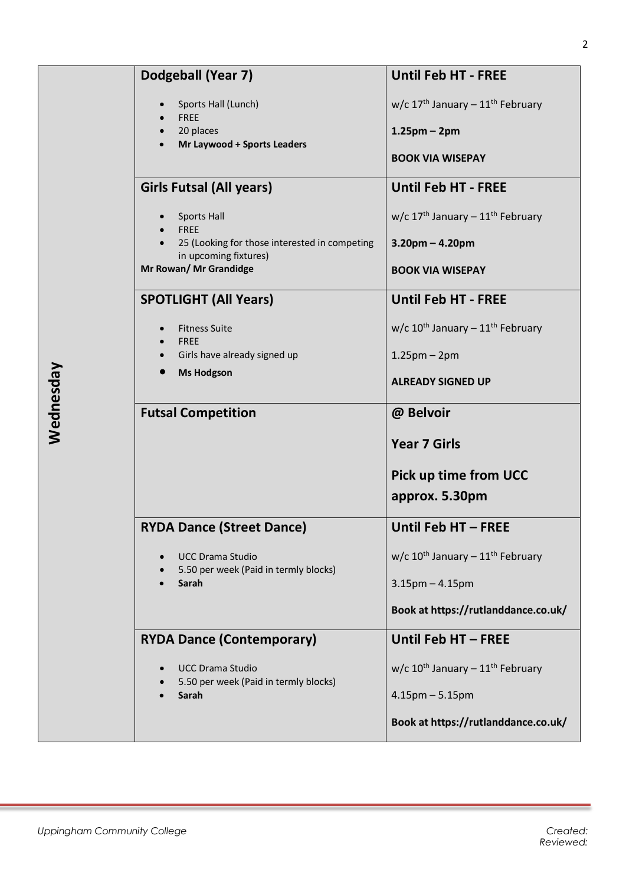| Dodgeball (Year 7)                              | <b>Until Feb HT - FREE</b>                               |
|-------------------------------------------------|----------------------------------------------------------|
| Sports Hall (Lunch)                             | w/c $17th$ January - $11th$ February                     |
| <b>FREE</b><br>20 places                        | $1.25$ pm – 2pm                                          |
| Mr Laywood + Sports Leaders                     | <b>BOOK VIA WISEPAY</b>                                  |
|                                                 |                                                          |
| <b>Girls Futsal (All years)</b>                 | <b>Until Feb HT - FREE</b>                               |
| <b>Sports Hall</b><br><b>FREE</b>               | w/c $17^{\text{th}}$ January - $11^{\text{th}}$ February |
| 25 (Looking for those interested in competing   | $3.20$ pm – $4.20$ pm                                    |
| in upcoming fixtures)<br>Mr Rowan/ Mr Grandidge | <b>BOOK VIA WISEPAY</b>                                  |
| <b>SPOTLIGHT (All Years)</b>                    | <b>Until Feb HT - FREE</b>                               |
|                                                 |                                                          |
| <b>Fitness Suite</b><br><b>FRFF</b>             | w/c $10^{th}$ January - $11^{th}$ February               |
| Girls have already signed up                    | $1.25$ pm – $2$ pm                                       |
| <b>Ms Hodgson</b>                               | <b>ALREADY SIGNED UP</b>                                 |
| <b>Futsal Competition</b>                       | @ Belvoir                                                |
|                                                 | <b>Year 7 Girls</b>                                      |
|                                                 | <b>Pick up time from UCC</b>                             |
|                                                 | approx. 5.30pm                                           |
| <b>RYDA Dance (Street Dance)</b>                | Until Feb HT - FREE                                      |
| <b>UCC Drama Studio</b>                         | w/c $10^{th}$ January - $11^{th}$ February               |
| 5.50 per week (Paid in termly blocks)<br>Sarah  | $3.15$ pm $- 4.15$ pm                                    |
|                                                 | Book at https://rutlanddance.co.uk/                      |
| <b>RYDA Dance (Contemporary)</b>                | Until Feb HT - FREE                                      |
| <b>UCC Drama Studio</b>                         | w/c $10^{th}$ January - $11^{th}$ February               |
| 5.50 per week (Paid in termly blocks)<br>Sarah  | $4.15$ pm $- 5.15$ pm                                    |
|                                                 | Book at https://rutlanddance.co.uk/                      |
|                                                 |                                                          |

**Wednesday**